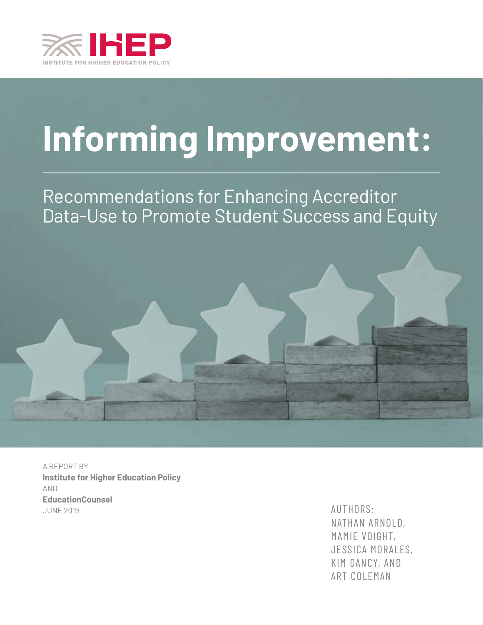

# **Informing Improvement:**

# Recommendations for Enhancing Accreditor Data-Use to Promote Student Success and Equity



A REPORT BY **Institute for Higher Education Policy**  AND **EducationCounsel** JUNE 2019 AUTHORS:

NATHAN ARNOLD, MAMIE VOIGHT, JESSICA MORALES, KIM DANCY, AND ART COLEMAN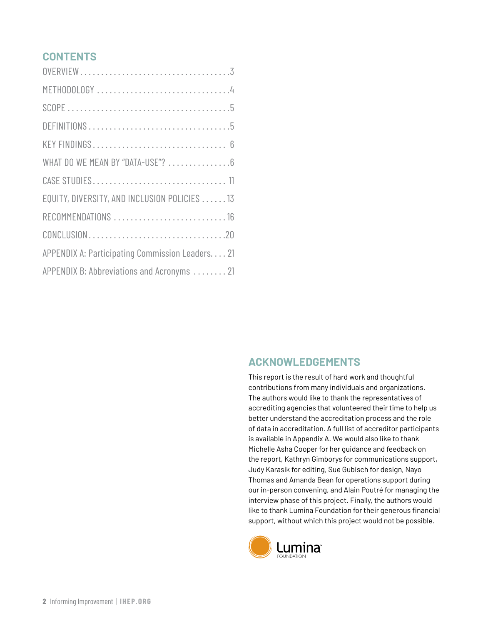# **CONTENTS**

| WHAT DO WE MEAN BY "DATA-USE"?  6               |
|-------------------------------------------------|
|                                                 |
| EQUITY, DIVERSITY, AND INCLUSION POLICIES  13   |
|                                                 |
|                                                 |
| APPENDIX A: Participating Commission Leaders 21 |
| APPENDIX B: Abbreviations and Acronyms  21      |

# **ACKNOWLEDGEMENTS**

This report is the result of hard work and thoughtful contributions from many individuals and organizations. The authors would like to thank the representatives of accrediting agencies that volunteered their time to help us better understand the accreditation process and the role of data in accreditation. A full list of accreditor participants is available in Appendix A. We would also like to thank Michelle Asha Cooper for her guidance and feedback on the report, Kathryn Gimborys for communications support, Judy Karasik for editing, Sue Gubisch for design, Nayo Thomas and Amanda Bean for operations support during our in-person convening, and Alain Poutré for managing the interview phase of this project. Finally, the authors would like to thank Lumina Foundation for their generous financial support, without which this project would not be possible.

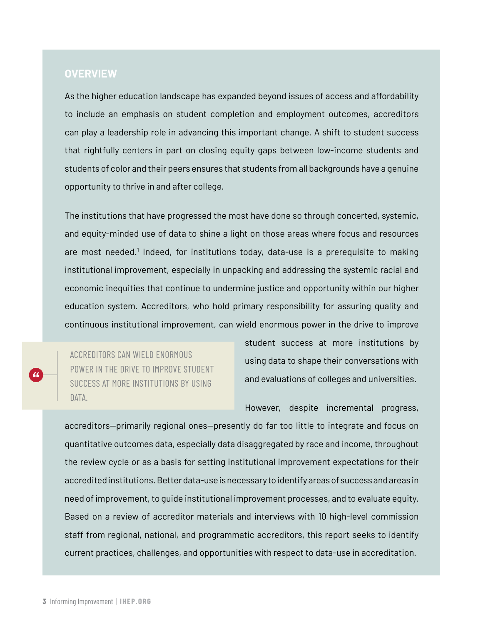### **OVERVIEW**

As the higher education landscape has expanded beyond issues of access and affordability to include an emphasis on student completion and employment outcomes, accreditors can play a leadership role in advancing this important change. A shift to student success that rightfully centers in part on closing equity gaps between low-income students and students of color and their peers ensures that students from all backgrounds have a genuine opportunity to thrive in and after college.

The institutions that have progressed the most have done so through concerted, systemic, and equity-minded use of data to shine a light on those areas where focus and resources are most needed.<sup>1</sup> Indeed, for institutions today, data-use is a prerequisite to making institutional improvement, especially in unpacking and addressing the systemic racial and economic inequities that continue to undermine justice and opportunity within our higher education system. Accreditors, who hold primary responsibility for assuring quality and continuous institutional improvement, can wield enormous power in the drive to improve

ACCREDITORS CAN WIELD ENORMOUS POWER IN THE DRIVE TO IMPROVE STUDENT SUCCESS AT MORE INSTITUTIONS BY USING DATA.

student success at more institutions by using data to shape their conversations with and evaluations of colleges and universities.

However, despite incremental progress,

accreditors—primarily regional ones—presently do far too little to integrate and focus on quantitative outcomes data, especially data disaggregated by race and income, throughout the review cycle or as a basis for setting institutional improvement expectations for their accredited institutions. Better data-use is necessary to identify areas of success and areas in need of improvement, to guide institutional improvement processes, and to evaluate equity. Based on a review of accreditor materials and interviews with 10 high-level commission staff from regional, national, and programmatic accreditors, this report seeks to identify current practices, challenges, and opportunities with respect to data-use in accreditation.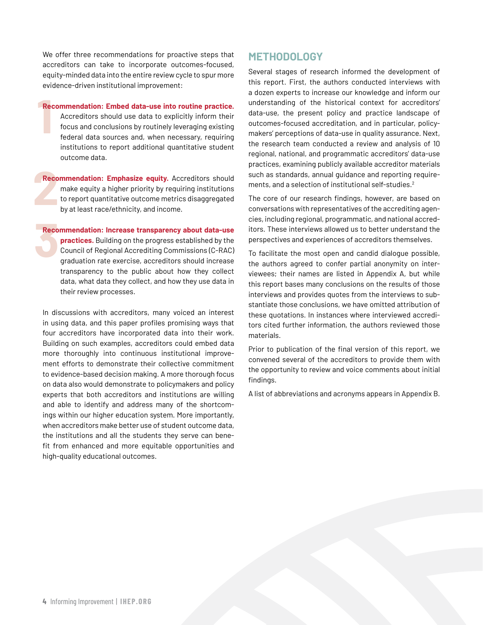We offer three recommendations for proactive steps that accreditors can take to incorporate outcomes-focused, equity-minded data into the entire review cycle to spur more evidence-driven institutional improvement:

# **1**<br>**1 Recommendation: Embed data-use into routine practice.**

Accreditors should use data to explicitly inform their focus and conclusions by routinely leveraging existing federal data sources and, when necessary, requiring institutions to report additional quantitative student outcome data.

**2 Recommendation: Emphasize equity.** Accreditors should make equity a higher priority by requiring institutions to report quantitative outcome metrics disaggregated by at least race/ethnicity, and income.

# **8**<br>**3 Recommendation: Increase transparency about data-use**

**practices.** Building on the progress established by the Council of Regional Accrediting Commissions (C-RAC) graduation rate exercise, accreditors should increase transparency to the public about how they collect data, what data they collect, and how they use data in their review processes.

In discussions with accreditors, many voiced an interest in using data, and this paper profiles promising ways that four accreditors have incorporated data into their work. Building on such examples, accreditors could embed data more thoroughly into continuous institutional improvement efforts to demonstrate their collective commitment to evidence-based decision making. A more thorough focus on data also would demonstrate to policymakers and policy experts that both accreditors and institutions are willing and able to identify and address many of the shortcomings within our higher education system. More importantly, when accreditors make better use of student outcome data, the institutions and all the students they serve can benefit from enhanced and more equitable opportunities and high-quality educational outcomes.

### **METHODOLOGY**

Several stages of research informed the development of this report. First, the authors conducted interviews with a dozen experts to increase our knowledge and inform our understanding of the historical context for accreditors' data-use, the present policy and practice landscape of outcomes-focused accreditation, and in particular, policymakers' perceptions of data-use in quality assurance. Next, the research team conducted a review and analysis of 10 regional, national, and programmatic accreditors' data-use practices, examining publicly available accreditor materials such as standards, annual guidance and reporting requirements, and a selection of institutional self-studies.2

The core of our research findings, however, are based on conversations with representatives of the accrediting agencies, including regional, programmatic, and national accreditors. These interviews allowed us to better understand the perspectives and experiences of accreditors themselves.

To facilitate the most open and candid dialogue possible, the authors agreed to confer partial anonymity on interviewees; their names are listed in Appendix A, but while this report bases many conclusions on the results of those interviews and provides quotes from the interviews to substantiate those conclusions, we have omitted attribution of these quotations. In instances where interviewed accreditors cited further information, the authors reviewed those materials.

Prior to publication of the final version of this report, we convened several of the accreditors to provide them with the opportunity to review and voice comments about initial findings.

A list of abbreviations and acronyms appears in Appendix B.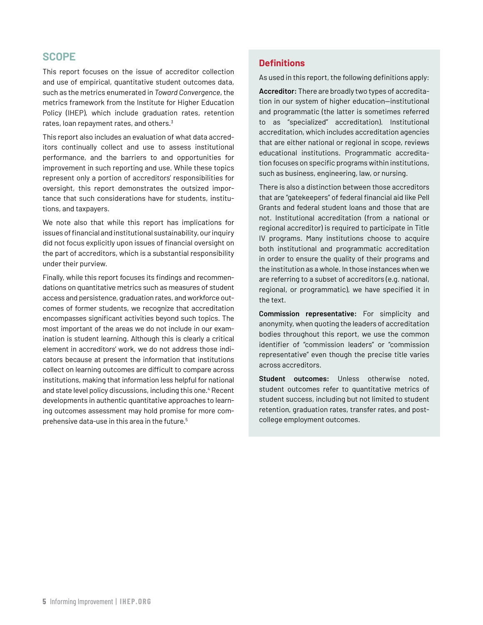# **SCOPE**

This report focuses on the issue of accreditor collection and use of empirical, quantitative student outcomes data, such as the metrics enumerated in *[Toward Convergence](http://www.ihep.org/sites/default/files/uploads/docs/pubs/factsheets/ihep_toward_convergence_executive_summary.pdf)*, the metrics framework from the Institute for Higher Education Policy (IHEP), which include graduation rates, retention rates, loan repayment rates, and others.<sup>3</sup>

This report also includes an evaluation of what data accreditors continually collect and use to assess institutional performance, and the barriers to and opportunities for improvement in such reporting and use. While these topics represent only a portion of accreditors' responsibilities for oversight, this report demonstrates the outsized importance that such considerations have for students, institutions, and taxpayers.

We note also that while this report has implications for issues of financial and institutional sustainability, our inquiry did not focus explicitly upon issues of financial oversight on the part of accreditors, which is a substantial responsibility under their purview.

Finally, while this report focuses its findings and recommendations on quantitative metrics such as measures of student access and persistence, graduation rates, and workforce outcomes of former students, we recognize that accreditation encompasses significant activities beyond such topics. The most important of the areas we do not include in our examination is student learning. Although this is clearly a critical element in accreditors' work, we do not address those indicators because at present the information that institutions collect on learning outcomes are difficult to compare across institutions, making that information less helpful for national and state level policy discussions, including this one.<sup>4</sup> Recent developments in authentic quantitative approaches to learning outcomes assessment may hold promise for more comprehensive data-use in this area in the future.5

#### **Definitions**

As used in this report, the following definitions apply:

**Accreditor:** There are broadly two types of accreditation in our system of higher education—institutional and programmatic (the latter is sometimes referred to as "specialized" accreditation). Institutional accreditation, which includes accreditation agencies that are either national or regional in scope, reviews educational institutions. Programmatic accreditation focuses on specific programs within institutions, such as business, engineering, law, or nursing.

There is also a distinction between those accreditors that are "gatekeepers" of federal financial aid like Pell Grants and federal student loans and those that are not. Institutional accreditation (from a national or regional accreditor) is required to participate in Title IV programs. Many institutions choose to acquire both institutional and programmatic accreditation in order to ensure the quality of their programs and the institution as a whole. In those instances when we are referring to a subset of accreditors (e.g. national, regional, or programmatic), we have specified it in the text.

**Commission representative:** For simplicity and anonymity, when quoting the leaders of accreditation bodies throughout this report, we use the common identifier of "commission leaders" or "commission representative" even though the precise title varies across accreditors.

**Student outcomes:** Unless otherwise noted, student outcomes refer to quantitative metrics of student success, including but not limited to student retention, graduation rates, transfer rates, and postcollege employment outcomes.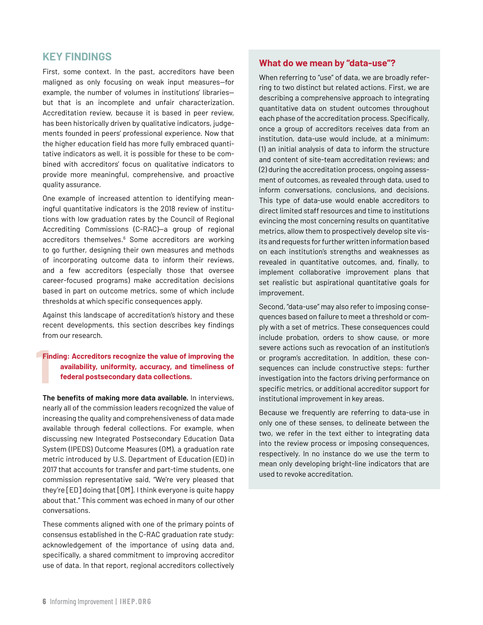# **KEY FINDINGS**

First, some context. In the past, accreditors have been maligned as only focusing on weak input measures—for example, the number of volumes in institutions' libraries but that is an incomplete and unfair characterization. Accreditation review, because it is based in peer review, has been historically driven by qualitative indicators, judgements founded in peers' professional experience. Now that the higher education field has more fully embraced quantitative indicators as well, it is possible for these to be combined with accreditors' focus on qualitative indicators to provide more meaningful, comprehensive, and proactive quality assurance.

One example of increased attention to identifying meaningful quantitative indicators is the 2018 review of institutions with low graduation rates by the Council of Regional Accrediting Commissions (C-RAC)—a group of regional accreditors themselves.<sup>6</sup> Some accreditors are working to go further, designing their own measures and methods of incorporating outcome data to inform their reviews, and a few accreditors (especially those that oversee career-focused programs) make accreditation decisions based in part on outcome metrics, some of which include thresholds at which specific consequences apply.

Against this landscape of accreditation's history and these recent developments, this section describes key findings from our research.

# **1**<br>1 **Finding: Accreditors recognize the value of improving the availability, uniformity, accuracy, and timeliness of federal postsecondary data collections.**

**The benefits of making more data available.** In interviews, nearly all of the commission leaders recognized the value of increasing the quality and comprehensiveness of data made available through federal collections. For example, when discussing new Integrated Postsecondary Education Data System (IPEDS) Outcome Measures (OM), a graduation rate metric introduced by U.S. Department of Education (ED) in 2017 that accounts for transfer and part-time students, one commission representative said, "We're very pleased that they're [ED] doing that [OM]. I think everyone is quite happy about that." This comment was echoed in many of our other conversations.

These comments aligned with one of the primary points of consensus established in the C-RAC graduation rate study: acknowledgement of the importance of using data and, specifically, a shared commitment to improving accreditor use of data. In that report, regional accreditors collectively

#### **What do we mean by "data-use"?**

When referring to "use" of data, we are broadly referring to two distinct but related actions. First, we are describing a comprehensive approach to integrating quantitative data on student outcomes throughout each phase of the accreditation process. Specifically, once a group of accreditors receives data from an institution, data-use would include, at a minimum: (1) an initial analysis of data to inform the structure and content of site-team accreditation reviews; and (2) during the accreditation process, ongoing assessment of outcomes, as revealed through data, used to inform conversations, conclusions, and decisions. This type of data-use would enable accreditors to direct limited staff resources and time to institutions evincing the most concerning results on quantitative metrics, allow them to prospectively develop site visits and requests for further written information based on each institution's strengths and weaknesses as revealed in quantitative outcomes, and, finally, to implement collaborative improvement plans that set realistic but aspirational quantitative goals for improvement.

Second, "data-use" may also refer to imposing consequences based on failure to meet a threshold or comply with a set of metrics. These consequences could include probation, orders to show cause, or more severe actions such as revocation of an institution's or program's accreditation. In addition, these consequences can include constructive steps: further investigation into the factors driving performance on specific metrics, or additional accreditor support for institutional improvement in key areas.

Because we frequently are referring to data-use in only one of these senses, to delineate between the two, we refer in the text either to integrating data into the review process or imposing consequences, respectively. In no instance do we use the term to mean only developing bright-line indicators that are used to revoke accreditation.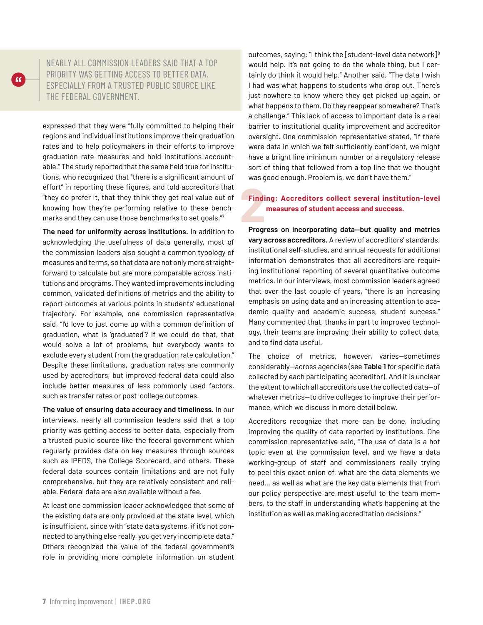

NEARLY ALL COMMISSION LEADERS SAID THAT A TOP PRIORITY WAS GETTING ACCESS TO BETTER DATA, ESPECIALLY FROM A TRUSTED PUBLIC SOURCE LIKE THE FEDERAL GOVERNMENT.

expressed that they were "fully committed to helping their regions and individual institutions improve their graduation rates and to help policymakers in their efforts to improve graduation rate measures and hold institutions accountable." The study reported that the same held true for institutions, who recognized that "there is a significant amount of effort" in reporting these figures, and told accreditors that "they do prefer it, that they think they get real value out of knowing how they're performing relative to these benchmarks and they can use those benchmarks to set goals."7

**The need for uniformity across institutions.** In addition to acknowledging the usefulness of data generally, most of the commission leaders also sought a common typology of measures and terms, so that data are not only more straightforward to calculate but are more comparable across institutions and programs. They wanted improvements including common, validated definitions of metrics and the ability to report outcomes at various points in students' educational trajectory. For example, one commission representative said, "I'd love to just come up with a common definition of graduation, what is 'graduated'? If we could do that, that would solve a lot of problems, but everybody wants to exclude every student from the graduation rate calculation." Despite these limitations, graduation rates are commonly used by accreditors, but improved federal data could also include better measures of less commonly used factors, such as transfer rates or post-college outcomes.

**The value of ensuring data accuracy and timeliness.** In our interviews, nearly all commission leaders said that a top priority was getting access to better data, especially from a trusted public source like the federal government which regularly provides data on key measures through sources such as IPEDS, the College Scorecard, and others. These federal data sources contain limitations and are not fully comprehensive, but they are relatively consistent and reliable. Federal data are also available without a fee.

At least one commission leader acknowledged that some of the existing data are only provided at the state level, which is insufficient, since with "state data systems, if it's not connected to anything else really, you get very incomplete data." Others recognized the value of the federal government's role in providing more complete information on student outcomes, saying: "I think the [student-level data network] $8$ would help. It's not going to do the whole thing, but I certainly do think it would help." Another said, "The data I wish I had was what happens to students who drop out. There's just nowhere to know where they get picked up again, or what happens to them. Do they reappear somewhere? That's a challenge." This lack of access to important data is a real barrier to institutional quality improvement and accreditor oversight. One commission representative stated, "If there were data in which we felt sufficiently confident, we might have a bright line minimum number or a regulatory release sort of thing that followed from a top line that we thought was good enough. Problem is, we don't have them."

# **2**<br>Progr **Finding: Accreditors collect several institution-level measures of student access and success.**

**Progress on incorporating data—but quality and metrics vary across accreditors.** A review of accreditors' standards, institutional self-studies, and annual requests for additional information demonstrates that all accreditors are requiring institutional reporting of several quantitative outcome metrics. In our interviews, most commission leaders agreed that over the last couple of years, "there is an increasing emphasis on using data and an increasing attention to academic quality and academic success, student success." Many commented that, thanks in part to improved technology, their teams are improving their ability to collect data, and to find data useful.

The choice of metrics, however, varies—sometimes considerably—across agencies (see **Table 1** for specific data collected by each participating accreditor). And it is unclear the extent to which all accreditors use the collected data—of whatever metrics—to drive colleges to improve their performance, which we discuss in more detail below.

Accreditors recognize that more can be done, including improving the quality of data reported by institutions. One commission representative said, "The use of data is a hot topic even at the commission level, and we have a data working-group of staff and commissioners really trying to peel this exact onion of, what are the data elements we need… as well as what are the key data elements that from our policy perspective are most useful to the team members, to the staff in understanding what's happening at the institution as well as making accreditation decisions."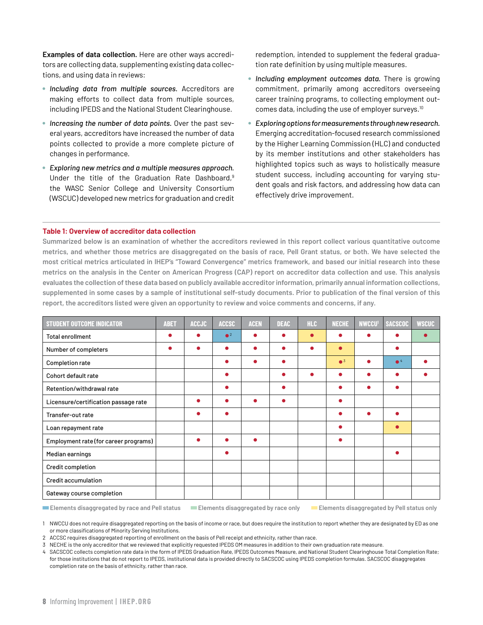**Examples of data collection.** Here are other ways accreditors are collecting data, supplementing existing data collections, and using data in reviews:

- 7 *Including data from multiple sources.* Accreditors are making efforts to collect data from multiple sources, including IPEDS and the National Student Clearinghouse.
- **Increasing the number of data points.** Over the past several years, accreditors have increased the number of data points collected to provide a more complete picture of changes in performance.
- 7 *Exploring new metrics and a multiple measures approach.* Under the title of the Graduation Rate Dashboard,<sup>9</sup> the WASC Senior College and University Consortium (WSCUC) developed new metrics for graduation and credit

redemption, intended to supplement the federal graduation rate definition by using multiple measures.

- 7 *Including employment outcomes data.* There is growing commitment, primarily among accreditors overseeing career training programs, to collecting employment outcomes data, including the use of employer surveys.10
- 7 *Exploring options for measurements through new research.* Emerging accreditation-focused research commissioned by the Higher Learning Commission (HLC) and conducted by its member institutions and other stakeholders has highlighted topics such as ways to holistically measure student success, including accounting for varying student goals and risk factors, and addressing how data can effectively drive improvement.

#### **Table 1: Overview of accreditor data collection**

**Summarized below is an examination of whether the accreditors reviewed in this report collect various quantitative outcome metrics, and whether those metrics are disaggregated on the basis of race, Pell Grant status, or both. We have selected the most critical metrics articulated in IHEP's "Toward Convergence" metrics framework, and based our initial research into these metrics on the analysis in the Center on American Progress (CAP) report on accreditor data collection and use. This analysis evaluates the collection of these data based on publicly available accreditor information, primarily annual information collections, supplemented in some cases by a sample of institutional self-study documents. Prior to publication of the final version of this report, the accreditors listed were given an opportunity to review and voice comments and concerns, if any.**

| <b>STUDENT OUTCOME INDICATOR</b>      | <b>ABET</b> | <b>ACCJC</b> | <b>ACCSC</b> | <b>ACEN</b> | <b>DEAC</b> | <b>HLC</b> | <b>NECHE</b>           | <b>NWCCU</b> | <b>SACSCOC</b> | <b>WSCUC</b> |
|---------------------------------------|-------------|--------------|--------------|-------------|-------------|------------|------------------------|--------------|----------------|--------------|
| <b>Total enrollment</b>               |             |              | $^2$         |             |             |            |                        |              |                |              |
| Number of completers                  | œ           | ●            |              |             | ●           |            | $\bullet$              |              |                |              |
| Completion rate                       |             |              |              |             | ●           |            | $\bullet$ <sup>3</sup> | ●            | $^4$           |              |
| Cohort default rate                   |             |              |              |             |             |            |                        |              |                |              |
| Retention/withdrawal rate             |             |              |              |             | ●           |            |                        |              |                |              |
| Licensure/certification passage rate  |             |              |              |             |             |            | ●                      |              |                |              |
| Transfer-out rate                     |             | ●            | ٠            |             |             |            | ●                      |              |                |              |
| Loan repayment rate                   |             |              |              |             |             |            | ●                      |              |                |              |
| Employment rate (for career programs) |             | ●            |              | ●           |             |            | ●                      |              |                |              |
| Median earnings                       |             |              | ٠            |             |             |            |                        |              | ٠              |              |
| Credit completion                     |             |              |              |             |             |            |                        |              |                |              |
| <b>Credit accumulation</b>            |             |              |              |             |             |            |                        |              |                |              |
| Gateway course completion             |             |              |              |             |             |            |                        |              |                |              |

o **Elements disaggregated by race and Pell status** o **Elements disaggregated by race only** o **Elements disaggregated by Pell status only** 

1 NWCCU does not require disaggregated reporting on the basis of income or race, but does require the institution to report whether they are designated by ED as one or more classifications of Minority Serving Institutions.

2 ACCSC requires disaggregated reporting of enrollment on the basis of Pell receipt and ethnicity, rather than race.

3 NECHE is the only accreditor that we reviewed that explicitly requested IPEDS OM measures in addition to their own graduation rate measure.

4 SACSCOC collects completion rate data in the form of IPEDS Graduation Rate, IPEDS Outcomes Measure, and National Student Clearinghouse Total Completion Rate; for those institutions that do not report to IPEDS, institutional data is provided directly to SACSCOC using IPEDS completion formulas. SACSCOC disaggregates completion rate on the basis of ethnicity, rather than race.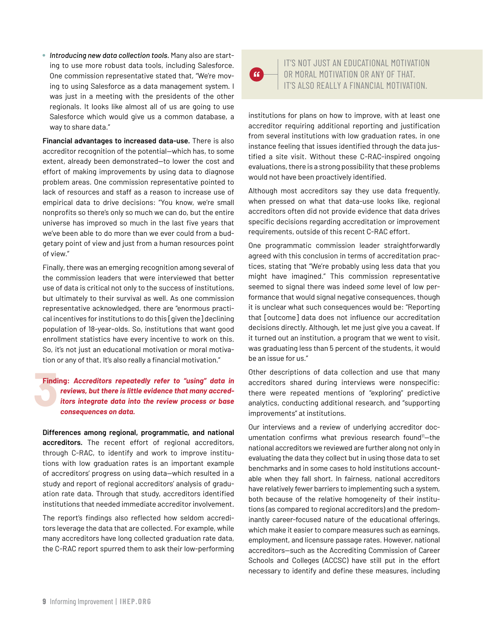**• Introducing new data collection tools.** Many also are starting to use more robust data tools, including Salesforce. One commission representative stated that, "We're moving to using Salesforce as a data management system. I was just in a meeting with the presidents of the other regionals. It looks like almost all of us are going to use Salesforce which would give us a common database, a way to share data."

**Financial advantages to increased data-use.** There is also accreditor recognition of the potential—which has, to some extent, already been demonstrated—to lower the cost and effort of making improvements by using data to diagnose problem areas. One commission representative pointed to lack of resources and staff as a reason to increase use of empirical data to drive decisions: "You know, we're small nonprofits so there's only so much we can do, but the entire universe has improved so much in the last five years that we've been able to do more than we ever could from a budgetary point of view and just from a human resources point of view."

Finally, there was an emerging recognition among several of the commission leaders that were interviewed that better use of data is critical not only to the success of institutions, but ultimately to their survival as well. As one commission representative acknowledged, there are "enormous practical incentives for institutions to do this [given the] declining population of 18-year-olds. So, institutions that want good enrollment statistics have every incentive to work on this. So, it's not just an educational motivation or moral motivation or any of that. It's also really a financial motivation."

#### **5**<br>**3 Finding:** *Accreditors repeatedly refer to "using" data in reviews, but there is little evidence that many accreditors integrate data into the review process or base consequences on data.*

**Differences among regional, programmatic, and national accreditors.** The recent effort of regional accreditors, through C-RAC, to identify and work to improve institutions with low graduation rates is an important example of accreditors' progress on using data—which resulted in a study and report of regional accreditors' analysis of graduation rate data. Through that study, accreditors identified institutions that needed immediate accreditor involvement.

The report's findings also reflected how seldom accreditors leverage the data that are collected. For example, while many accreditors have long collected graduation rate data, the C-RAC report spurred them to ask their low-performing  $66$ 

IT'S NOT JUST AN EDUCATIONAL MOTIVATION OR MORAL MOTIVATION OR ANY OF THAT. IT'S ALSO REALLY A FINANCIAL MOTIVATION.

institutions for plans on how to improve, with at least one accreditor requiring additional reporting and justification from several institutions with low graduation rates, in one instance feeling that issues identified through the data justified a site visit. Without these C-RAC-inspired ongoing evaluations, there is a strong possibility that these problems would not have been proactively identified.

Although most accreditors say they use data frequently, when pressed on what that data-use looks like, regional accreditors often did not provide evidence that data drives specific decisions regarding accreditation or improvement requirements, outside of this recent C-RAC effort.

One programmatic commission leader straightforwardly agreed with this conclusion in terms of accreditation practices, stating that "We're probably using less data that you might have imagined." This commission representative seemed to signal there was indeed *some* level of low performance that would signal negative consequences, though it is unclear what such consequences would be: "Reporting that [outcome] data does not influence our accreditation decisions directly. Although, let me just give you a caveat. If it turned out an institution, a program that we went to visit, was graduating less than 5 percent of the students, it would be an issue for us."

Other descriptions of data collection and use that many accreditors shared during interviews were nonspecific: there were repeated mentions of "exploring" predictive analytics, conducting additional research, and "supporting improvements" at institutions.

Our interviews and a review of underlying accreditor documentation confirms what previous research found<sup>11</sup>-the national accreditors we reviewed are further along not only in evaluating the data they collect but in using those data to set benchmarks and in some cases to hold institutions accountable when they fall short. In fairness, national accreditors have relatively fewer barriers to implementing such a system, both because of the relative homogeneity of their institutions (as compared to regional accreditors) and the predominantly career-focused nature of the educational offerings, which make it easier to compare measures such as earnings, employment, and licensure passage rates. However, national accreditors—such as the Accrediting Commission of Career Schools and Colleges (ACCSC) have still put in the effort necessary to identify and define these measures, including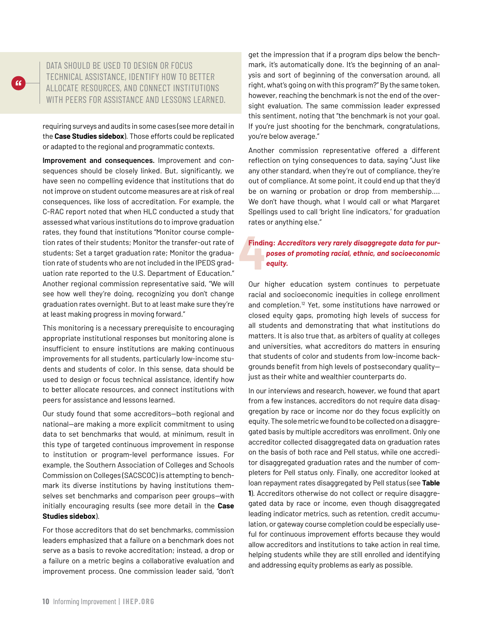

requiring surveys and audits in some cases (see more detail in the **Case Studies sidebox**). Those efforts could be replicated or adapted to the regional and programmatic contexts.

**Improvement and consequences.** Improvement and consequences should be closely linked. But, significantly, we have seen no compelling evidence that institutions that do not improve on student outcome measures are at risk of real consequences, like loss of accreditation. For example, the C-RAC report noted that when HLC conducted a study that assessed what various institutions do to improve graduation rates, they found that institutions "Monitor course completion rates of their students; Monitor the transfer-out rate of students; Set a target graduation rate; Monitor the graduation rate of students who are not included in the IPEDS graduation rate reported to the U.S. Department of Education." Another regional commission representative said, "We will see how well they're doing, recognizing you don't change graduation rates overnight. But to at least make sure they're at least making progress in moving forward."

This monitoring is a necessary prerequisite to encouraging appropriate institutional responses but monitoring alone is insufficient to ensure institutions are making continuous improvements for all students, particularly low-income students and students of color. In this sense, data should be used to design or focus technical assistance, identify how to better allocate resources, and connect institutions with peers for assistance and lessons learned.

Our study found that some accreditors—both regional and national—are making a more explicit commitment to using data to set benchmarks that would, at minimum, result in this type of targeted continuous improvement in response to institution or program-level performance issues. For example, the Southern Association of Colleges and Schools Commission on Colleges (SACSCOC) is attempting to benchmark its diverse institutions by having institutions themselves set benchmarks and comparison peer groups—with initially encouraging results (see more detail in the **Case Studies sidebox**).

For those accreditors that do set benchmarks, commission leaders emphasized that a failure on a benchmark does not serve as a basis to revoke accreditation; instead, a drop or a failure on a metric begins a collaborative evaluation and improvement process. One commission leader said, "don't

get the impression that if a program dips below the benchmark, it's automatically done. It's the beginning of an analysis and sort of beginning of the conversation around, all right, what's going on with this program?" By the same token, however, reaching the benchmark is not the end of the oversight evaluation. The same commission leader expressed this sentiment, noting that "the benchmark is not your goal. If you're just shooting for the benchmark, congratulations, you're below average."

Another commission representative offered a different reflection on tying consequences to data, saying "Just like any other standard, when they're out of compliance, they're out of compliance. At some point, it could end up that they'd be on warning or probation or drop from membership.... We don't have though, what I would call or what Margaret Spellings used to call 'bright line indicators,' for graduation rates or anything else."

# **4 Finding:** *Accreditors very rarely disaggregate data for purposes of promoting racial, ethnic, and socioeconomic equity.*

Our higher education system continues to perpetuate racial and socioeconomic inequities in college enrollment and completion.<sup>12</sup> Yet, some institutions have narrowed or closed equity gaps, promoting high levels of success for all students and demonstrating that what institutions do matters. It is also true that, as arbiters of quality at colleges and universities, what accreditors do matters in ensuring that students of color and students from low-income backgrounds benefit from high levels of postsecondary quality just as their white and wealthier counterparts do.

In our interviews and research, however, we found that apart from a few instances, accreditors do not require data disaggregation by race or income nor do they focus explicitly on equity. The sole metric we found to be collected on a disaggregated basis by multiple accreditors was enrollment. Only one accreditor collected disaggregated data on graduation rates on the basis of both race and Pell status, while one accreditor disaggregated graduation rates and the number of completers for Pell status only. Finally, one accreditor looked at loan repayment rates disaggregated by Pell status (see **Table 1**). Accreditors otherwise do not collect or require disaggregated data by race or income, even though disaggregated leading indicator metrics, such as retention, credit accumulation, or gateway course completion could be especially useful for continuous improvement efforts because they would allow accreditors and institutions to take action in real time, helping students while they are still enrolled and identifying and addressing equity problems as early as possible.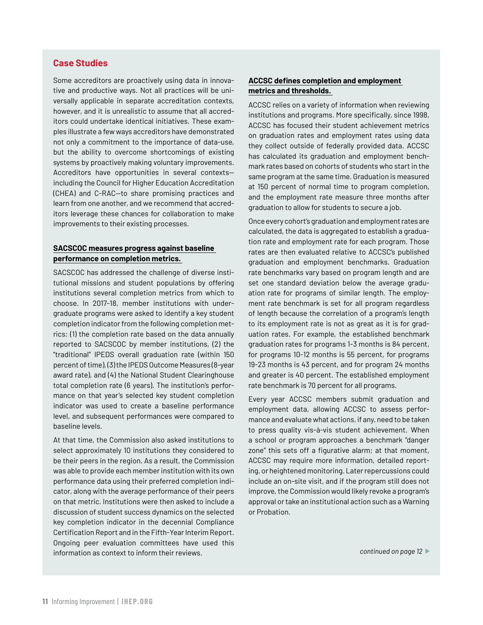#### **Case Studies**

Some accreditors are proactively using data in innovative and productive ways. Not all practices will be universally applicable in separate accreditation contexts, however, and it is unrealistic to assume that all accreditors could undertake identical initiatives. These examples illustrate a few ways accreditors have demonstrated not only a commitment to the importance of data-use, but the ability to overcome shortcomings of existing systems by proactively making voluntary improvements. Accreditors have opportunities in several contexts including the Council for Higher Education Accreditation (CHEA) and C-RAC—to share promising practices and learn from one another, and we recommend that accreditors leverage these chances for collaboration to make improvements to their existing processes.

#### **SACSCOC measures progress against baseline performance on completion metrics.**

SACSCOC has addressed the challenge of diverse institutional missions and student populations by offering institutions several completion metrics from which to choose. In 2017-18, member institutions with undergraduate programs were asked to identify a key student completion indicator from the following completion metrics: (1) the completion rate based on the data annually reported to SACSCOC by member institutions, (2) the "traditional" IPEDS overall graduation rate (within 150 percent of time), (3) the IPEDS Outcome Measures (8-year award rate), and (4) the National Student Clearinghouse total completion rate (6 years). The institution's performance on that year's selected key student completion indicator was used to create a baseline performance level, and subsequent performances were compared to baseline levels.

At that time, the Commission also asked institutions to select approximately 10 institutions they considered to be their peers in the region. As a result, the Commission was able to provide each member institution with its own performance data using their preferred completion indicator, along with the average performance of their peers on that metric. Institutions were then asked to include a discussion of student success dynamics on the selected key completion indicator in the decennial Compliance Certification Report and in the Fifth-Year Interim Report. Ongoing peer evaluation committees have used this information as context to inform their reviews.

#### **ACCSC defines completion and employment metrics and thresholds.**

ACCSC relies on a variety of information when reviewing institutions and programs. More specifically, since 1998, ACCSC has focused their student achievement metrics on graduation rates and employment rates using data they collect outside of federally provided data. ACCSC has calculated its graduation and employment benchmark rates based on cohorts of students who start in the same program at the same time. Graduation is measured at 150 percent of normal time to program completion, and the employment rate measure three months after graduation to allow for students to secure a job.

Once every cohort's graduation and employment rates are calculated, the data is aggregated to establish a graduation rate and employment rate for each program. Those rates are then evaluated relative to ACCSC's published graduation and employment benchmarks. Graduation rate benchmarks vary based on program length and are set one standard deviation below the average graduation rate for programs of similar length. The employment rate benchmark is set for all program regardless of length because the correlation of a program's length to its employment rate is not as great as it is for graduation rates. For example, the established benchmark graduation rates for programs 1-3 months is 84 percent, for programs 10-12 months is 55 percent, for programs 19-23 months is 43 percent, and for program 24 months and greater is 40 percent. The established employment rate benchmark is 70 percent for all programs.

Every year ACCSC members submit graduation and employment data, allowing ACCSC to assess performance and evaluate what actions, if any, need to be taken to press quality vis-à-vis student achievement. When a school or program approaches a benchmark "danger zone" this sets off a figurative alarm; at that moment, ACCSC may require more information, detailed reporting, or heightened monitoring. Later repercussions could include an on-site visit, and if the program still does not improve, the Commission would likely revoke a program's approval or take an institutional action such as a Warning or Probation.

*continued on page 12* l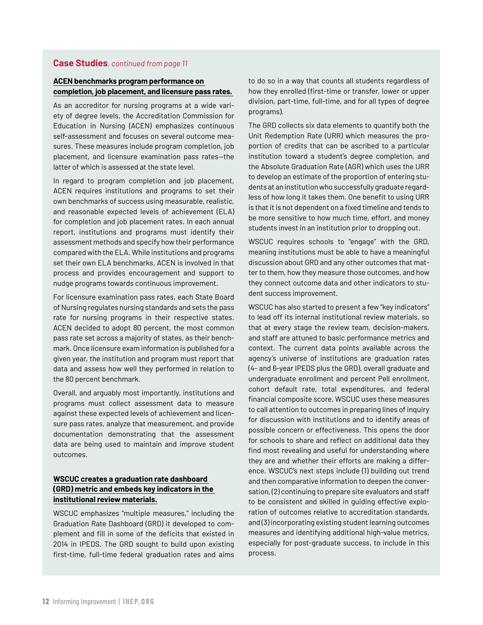#### **Case Studies***, continued from page 11*

#### **ACEN benchmarks program performance on completion, job placement, and licensure pass rates.**

As an accreditor for nursing programs at a wide variety of degree levels, the Accreditation Commission for Education in Nursing (ACEN) emphasizes continuous self-assessment and focuses on several outcome measures. These measures include program completion, job placement, and licensure examination pass rates—the latter of which is assessed at the state level.

In regard to program completion and job placement, ACEN requires institutions and programs to set their own benchmarks of success using measurable, realistic, and reasonable expected levels of achievement (ELA) for completion and job placement rates. In each annual report, institutions and programs must identify their assessment methods and specify how their performance compared with the ELA. While institutions and programs set their own ELA benchmarks, ACEN is involved in that process and provides encouragement and support to nudge programs towards continuous improvement.

For licensure examination pass rates, each State Board of Nursing regulates nursing standards and sets the pass rate for nursing programs in their respective states. ACEN decided to adopt 80 percent, the most common pass rate set across a majority of states, as their benchmark. Once licensure exam information is published for a given year, the institution and program must report that data and assess how well they performed in relation to the 80 percent benchmark.

Overall, and arguably most importantly, institutions and programs must collect assessment data to measure against these expected levels of achievement and licensure pass rates, analyze that measurement, and provide documentation demonstrating that the assessment data are being used to maintain and improve student outcomes.

#### **WSCUC creates a graduation rate dashboard (GRD) metric and embeds key indicators in the institutional review materials.**

WSCUC emphasizes "multiple measures," including the Graduation Rate Dashboard (GRD) it developed to complement and fill in some of the deficits that existed in 2014 in IPEDS. The GRD sought to build upon existing first-time, full-time federal graduation rates and aims

to do so in a way that counts all students regardless of how they enrolled (first-time or transfer, lower or upper division, part-time, full-time, and for all types of degree programs).

The GRD collects six data elements to quantify both the Unit Redemption Rate (URR) which measures the proportion of credits that can be ascribed to a particular institution toward a student's degree completion, and the Absolute Graduation Rate (AGR) which uses the URR to develop an estimate of the proportion of entering students at an institution who successfully graduate regardless of how long it takes them. One benefit to using URR is that it is not dependent on a fixed timeline and tends to be more sensitive to how much time, effort, and money students invest in an institution prior to dropping out.

WSCUC requires schools to "engage" with the GRD, meaning institutions must be able to have a meaningful discussion about GRD and any other outcomes that matter to them, how they measure those outcomes, and how they connect outcome data and other indicators to student success improvement.

WSCUC has also started to present a few "key indicators" to lead off its internal institutional review materials, so that at every stage the review team, decision-makers, and staff are attuned to basic performance metrics and context. The current data points available across the agency's universe of institutions are graduation rates (4- and 6-year IPEDS plus the GRD), overall graduate and undergraduate enrollment and percent Pell enrollment, cohort default rate, total expenditures, and federal financial composite score. WSCUC uses these measures to call attention to outcomes in preparing lines of inquiry for discussion with institutions and to identify areas of possible concern or effectiveness. This opens the door for schools to share and reflect on additional data they find most revealing and useful for understanding where they are and whether their efforts are making a difference. WSCUC's next steps include (1) building out trend and then comparative information to deepen the conversation, (2) continuing to prepare site evaluators and staff to be consistent and skilled in guiding effective exploration of outcomes relative to accreditation standards, and (3) incorporating existing student learning outcomes measures and identifying additional high-value metrics, especially for post-graduate success, to include in this process.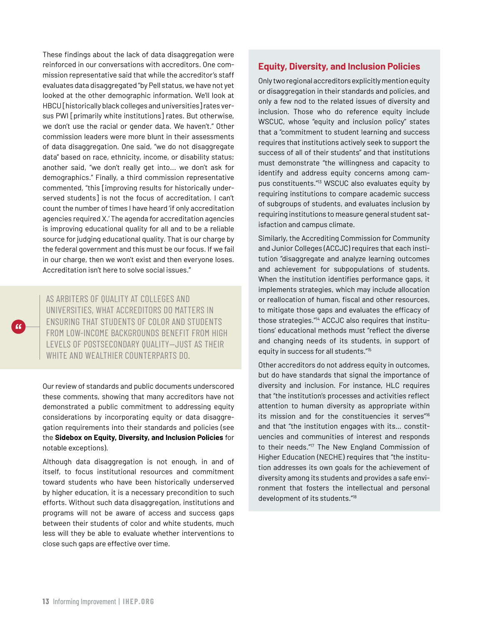These findings about the lack of data disaggregation were reinforced in our conversations with accreditors. One commission representative said that while the accreditor's staff evaluates data disaggregated "by Pell status, we have not yet looked at the other demographic information. We'll look at HBCU [historically black colleges and universities] rates versus PWI [primarily white institutions] rates. But otherwise, we don't use the racial or gender data. We haven't." Other commission leaders were more blunt in their assessments of data disaggregation. One said, "we do not disaggregate data" based on race, ethnicity, income, or disability status; another said, "we don't really get into... we don't ask for demographics." Finally, a third commission representative commented, "this [improving results for historically underserved students] is not the focus of accreditation. I can't count the number of times I have heard 'if only accreditation agencies required X.' The agenda for accreditation agencies is improving educational quality for all and to be a reliable source for judging educational quality. That is our charge by the federal government and this must be our focus. If we fail in our charge, then we won't exist and then everyone loses. Accreditation isn't here to solve social issues."

AS ARBITERS OF QUALITY AT COLLEGES AND UNIVERSITIES, WHAT ACCREDITORS DO MATTERS IN ENSURING THAT STUDENTS OF COLOR AND STUDENTS FROM LOW-INCOME BACKGROUNDS BENEFIT FROM HIGH LEVELS OF POSTSECONDARY QUALITY—JUST AS THEIR WHITE AND WEALTHIER COUNTERPARTS DO.

Our review of standards and public documents underscored these comments, showing that many accreditors have not demonstrated a public commitment to addressing equity considerations by incorporating equity or data disaggregation requirements into their standards and policies (see the **Sidebox on Equity, Diversity, and Inclusion Policies** for notable exceptions).

Although data disaggregation is not enough, in and of itself, to focus institutional resources and commitment toward students who have been historically underserved by higher education, it is a necessary precondition to such efforts. Without such data disaggregation, institutions and programs will not be aware of access and success gaps between their students of color and white students, much less will they be able to evaluate whether interventions to close such gaps are effective over time.

#### **Equity, Diversity, and Inclusion Policies**

Only two regional accreditors explicitly mention equity or disaggregation in their standards and policies, and only a few nod to the related issues of diversity and inclusion. Those who do reference equity include WSCUC, whose "equity and inclusion policy" states that a "commitment to student learning and success requires that institutions actively seek to support the success of all of their students" and that institutions must demonstrate "the willingness and capacity to identify and address equity concerns among campus constituents."13 WSCUC also evaluates equity by requiring institutions to compare academic success of subgroups of students, and evaluates inclusion by requiring institutions to measure general student satisfaction and campus climate.

Similarly, the Accrediting Commission for Community and Junior Colleges (ACCJC) requires that each institution "disaggregate and analyze learning outcomes and achievement for subpopulations of students. When the institution identifies performance gaps, it implements strategies, which may include allocation or reallocation of human, fiscal and other resources, to mitigate those gaps and evaluates the efficacy of those strategies."14 ACCJC also requires that institutions' educational methods must "reflect the diverse and changing needs of its students, in support of equity in success for all students."15

Other accreditors do not address equity in outcomes, but do have standards that signal the importance of diversity and inclusion. For instance, HLC requires that "the institution's processes and activities reflect attention to human diversity as appropriate within its mission and for the constituencies it serves"<sup>16</sup> and that "the institution engages with its… constituencies and communities of interest and responds to their needs."17 The New England Commission of Higher Education (NECHE) requires that "the institution addresses its own goals for the achievement of diversity among its students and provides a safe environment that fosters the intellectual and personal development of its students."18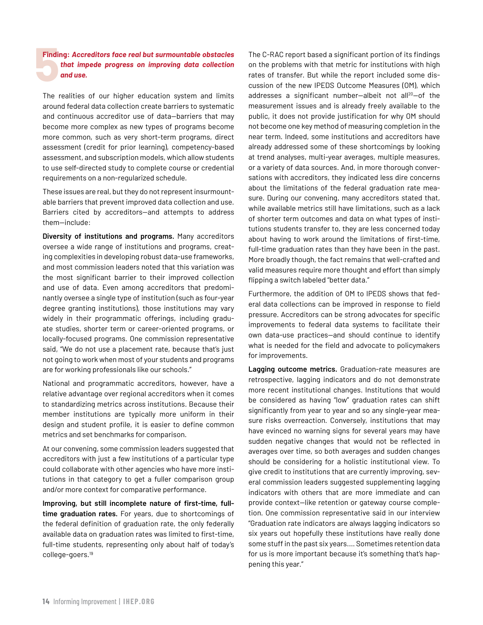# **Findi Finding:** *Accreditors face real but surmountable obstacles that impede progress on improving data collection and use.*

The realities of our higher education system and limits around federal data collection create barriers to systematic and continuous accreditor use of data—barriers that may become more complex as new types of programs become more common, such as very short-term programs, direct assessment (credit for prior learning), competency-based assessment, and subscription models, which allow students to use self-directed study to complete course or credential requirements on a non-regularized schedule.

These issues are real, but they do not represent insurmountable barriers that prevent improved data collection and use. Barriers cited by accreditors—and attempts to address them—include:

**Diversity of institutions and programs.** Many accreditors oversee a wide range of institutions and programs, creating complexities in developing robust data-use frameworks, and most commission leaders noted that this variation was the most significant barrier to their improved collection and use of data. Even among accreditors that predominantly oversee a single type of institution (such as four-year degree granting institutions), those institutions may vary widely in their programmatic offerings, including graduate studies, shorter term or career-oriented programs, or locally-focused programs. One commission representative said, "We do not use a placement rate, because that's just not going to work when most of your students and programs are for working professionals like our schools."

National and programmatic accreditors, however, have a relative advantage over regional accreditors when it comes to standardizing metrics across institutions. Because their member institutions are typically more uniform in their design and student profile, it is easier to define common metrics and set benchmarks for comparison.

At our convening, some commission leaders suggested that accreditors with just a few institutions of a particular type could collaborate with other agencies who have more institutions in that category to get a fuller comparison group and/or more context for comparative performance.

**Improving, but still incomplete nature of first-time, fulltime graduation rates.** For years, due to shortcomings of the federal definition of graduation rate, the only federally available data on graduation rates was limited to first-time, full-time students, representing only about half of today's college-goers.19

The C-RAC report based a significant portion of its findings on the problems with that metric for institutions with high rates of transfer. But while the report included some discussion of the new IPEDS Outcome Measures (OM), which addresses a significant number-albeit not all<sup>20</sup>-of the measurement issues and is already freely available to the public, it does not provide justification for why OM should not become one key method of measuring completion in the near term. Indeed, some institutions and accreditors have already addressed some of these shortcomings by looking at trend analyses, multi-year averages, multiple measures, or a variety of data sources. And, in more thorough conversations with accreditors, they indicated less dire concerns about the limitations of the federal graduation rate measure. During our convening, many accreditors stated that, while available metrics still have limitations, such as a lack of shorter term outcomes and data on what types of institutions students transfer to, they are less concerned today about having to work around the limitations of first-time, full-time graduation rates than they have been in the past. More broadly though, the fact remains that well-crafted and valid measures require more thought and effort than simply flipping a switch labeled "better data."

Furthermore, the addition of OM to IPEDS shows that federal data collections can be improved in response to field pressure. Accreditors can be strong advocates for specific improvements to federal data systems to facilitate their own data-use practices—and should continue to identify what is needed for the field and advocate to policymakers for improvements.

**Lagging outcome metrics.** Graduation-rate measures are retrospective, lagging indicators and do not demonstrate more recent institutional changes. Institutions that would be considered as having "low" graduation rates can shift significantly from year to year and so any single-year measure risks overreaction. Conversely, institutions that may have evinced no warning signs for several years may have sudden negative changes that would not be reflected in averages over time, so both averages and sudden changes should be considering for a holistic institutional view. To give credit to institutions that are currently improving, several commission leaders suggested supplementing lagging indicators with others that are more immediate and can provide context—like retention or gateway course completion. One commission representative said in our interview "Graduation rate indicators are always lagging indicators so six years out hopefully these institutions have really done some stuff in the past six years.… Sometimes retention data for us is more important because it's something that's happening this year."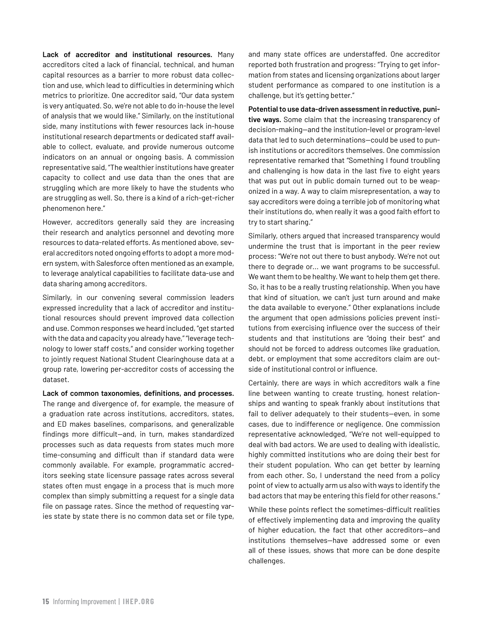**Lack of accreditor and institutional resources.** Many accreditors cited a lack of financial, technical, and human capital resources as a barrier to more robust data collection and use, which lead to difficulties in determining which metrics to prioritize. One accreditor said, "Our data system is very antiquated. So, we're not able to do in-house the level of analysis that we would like." Similarly, on the institutional side, many institutions with fewer resources lack in-house institutional research departments or dedicated staff available to collect, evaluate, and provide numerous outcome indicators on an annual or ongoing basis. A commission representative said, "The wealthier institutions have greater capacity to collect and use data than the ones that are struggling which are more likely to have the students who are struggling as well. So, there is a kind of a rich-get-richer phenomenon here."

However, accreditors generally said they are increasing their research and analytics personnel and devoting more resources to data-related efforts. As mentioned above, several accreditors noted ongoing efforts to adopt a more modern system, with Salesforce often mentioned as an example, to leverage analytical capabilities to facilitate data-use and data sharing among accreditors.

Similarly, in our convening several commission leaders expressed incredulity that a lack of accreditor and institutional resources should prevent improved data collection and use. Common responses we heard included, "get started with the data and capacity you already have," "leverage technology to lower staff costs," and consider working together to jointly request National Student Clearinghouse data at a group rate, lowering per-accreditor costs of accessing the dataset.

**Lack of common taxonomies, definitions, and processes.**  The range and divergence of, for example, the measure of a graduation rate across institutions, accreditors, states, and ED makes baselines, comparisons, and generalizable findings more difficult—and, in turn, makes standardized processes such as data requests from states much more time-consuming and difficult than if standard data were commonly available. For example, programmatic accreditors seeking state licensure passage rates across several states often must engage in a process that is much more complex than simply submitting a request for a single data file on passage rates. Since the method of requesting varies state by state there is no common data set or file type,

and many state offices are understaffed. One accreditor reported both frustration and progress: "Trying to get information from states and licensing organizations about larger student performance as compared to one institution is a challenge, but it's getting better."

**Potential to use data-driven assessment in reductive, punitive ways.** Some claim that the increasing transparency of decision-making—and the institution-level or program-level data that led to such determinations—could be used to punish institutions or accreditors themselves. One commission representative remarked that "Something I found troubling and challenging is how data in the last five to eight years that was put out in public domain turned out to be weaponized in a way. A way to claim misrepresentation, a way to say accreditors were doing a terrible job of monitoring what their institutions do, when really it was a good faith effort to try to start sharing."

Similarly, others argued that increased transparency would undermine the trust that is important in the peer review process: "We're not out there to bust anybody. We're not out there to degrade or... we want programs to be successful. We want them to be healthy. We want to help them get there. So, it has to be a really trusting relationship. When you have that kind of situation, we can't just turn around and make the data available to everyone." Other explanations include the argument that open admissions policies prevent institutions from exercising influence over the success of their students and that institutions are "doing their best" and should not be forced to address outcomes like graduation, debt, or employment that some accreditors claim are outside of institutional control or influence.

Certainly, there are ways in which accreditors walk a fine line between wanting to create trusting, honest relationships and wanting to speak frankly about institutions that fail to deliver adequately to their students—even, in some cases, due to indifference or negligence. One commission representative acknowledged, "We're not well-equipped to deal with bad actors. We are used to dealing with idealistic, highly committed institutions who are doing their best for their student population. Who can get better by learning from each other. So, I understand the need from a policy point of view to actually arm us also with ways to identify the bad actors that may be entering this field for other reasons."

While these points reflect the sometimes-difficult realities of effectively implementing data and improving the quality of higher education, the fact that other accreditors—and institutions themselves—have addressed some or even all of these issues, shows that more can be done despite challenges.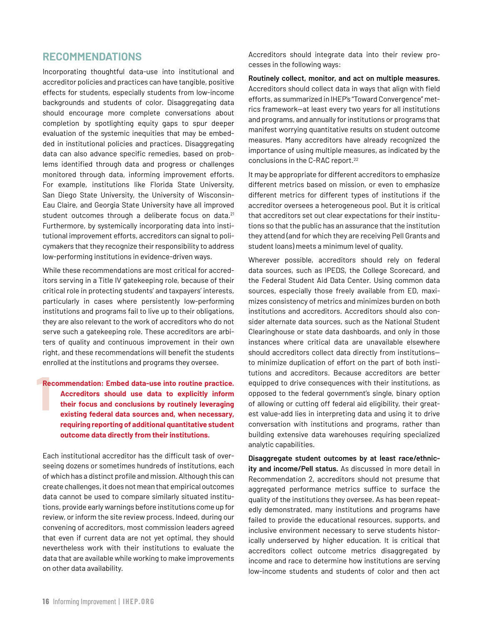## **RECOMMENDATIONS**

Incorporating thoughtful data-use into institutional and accreditor policies and practices can have tangible, positive effects for students, especially students from low-income backgrounds and students of color. Disaggregating data should encourage more complete conversations about completion by spotlighting equity gaps to spur deeper evaluation of the systemic inequities that may be embedded in institutional policies and practices. Disaggregating data can also advance specific remedies, based on problems identified through data and progress or challenges monitored through data, informing improvement efforts. For example, institutions like Florida State University, San Diego State University, the University of Wisconsin-Eau Claire, and Georgia State University have all improved student outcomes through a deliberate focus on data.<sup>21</sup> Furthermore, by systemically incorporating data into institutional improvement efforts, accreditors can signal to policymakers that they recognize their responsibility to address low-performing institutions in evidence-driven ways.

While these recommendations are most critical for accreditors serving in a Title IV gatekeeping role, because of their critical role in protecting students' and taxpayers' interests, particularly in cases where persistently low-performing institutions and programs fail to live up to their obligations, they are also relevant to the work of accreditors who do not serve such a gatekeeping role. These accreditors are arbiters of quality and continuous improvement in their own right, and these recommendations will benefit the students enrolled at the institutions and programs they oversee.

#### **1**<br> **1 Recommendation: Embed data-use into routine practice. Accreditors should use data to explicitly inform their focus and conclusions by routinely leveraging existing federal data sources and, when necessary, requiring reporting of additional quantitative student outcome data directly from their institutions.**

Each institutional accreditor has the difficult task of overseeing dozens or sometimes hundreds of institutions, each of which has a distinct profile and mission. Although this can create challenges, it does not mean that empirical outcomes data cannot be used to compare similarly situated institutions, provide early warnings before institutions come up for review, or inform the site review process. Indeed, during our convening of accreditors, most commission leaders agreed that even if current data are not yet optimal, they should nevertheless work with their institutions to evaluate the data that are available while working to make improvements on other data availability.

Accreditors should integrate data into their review processes in the following ways:

**Routinely collect, monitor, and act on multiple measures.**  Accreditors should collect data in ways that align with field efforts, as summarized in IHEP's "Toward Convergence" metrics framework—at least every two years for all institutions and programs, and annually for institutions or programs that manifest worrying quantitative results on student outcome measures. Many accreditors have already recognized the importance of using multiple measures, as indicated by the conclusions in the C-RAC report.22

It may be appropriate for different accreditors to emphasize different metrics based on mission, or even to emphasize different metrics for different types of institutions if the accreditor oversees a heterogeneous pool. But it is critical that accreditors set out clear expectations for their institutions so that the public has an assurance that the institution they attend (and for which they are receiving Pell Grants and student loans) meets a minimum level of quality.

Wherever possible, accreditors should rely on federal data sources, such as IPEDS, the College Scorecard, and the Federal Student Aid Data Center. Using common data sources, especially those freely available from ED, maximizes consistency of metrics and minimizes burden on both institutions and accreditors. Accreditors should also consider alternate data sources, such as the National Student Clearinghouse or state data dashboards, and only in those instances where critical data are unavailable elsewhere should accreditors collect data directly from institutions to minimize duplication of effort on the part of both institutions and accreditors. Because accreditors are better equipped to drive consequences with their institutions, as opposed to the federal government's single, binary option of allowing or cutting off federal aid eligibility, their greatest value-add lies in interpreting data and using it to drive conversation with institutions and programs, rather than building extensive data warehouses requiring specialized analytic capabilities.

**Disaggregate student outcomes by at least race/ethnicity and income/Pell status.** As discussed in more detail in Recommendation 2, accreditors should not presume that aggregated performance metrics suffice to surface the quality of the institutions they oversee. As has been repeatedly demonstrated, many institutions and programs have failed to provide the educational resources, supports, and inclusive environment necessary to serve students historically underserved by higher education. It is critical that accreditors collect outcome metrics disaggregated by income and race to determine how institutions are serving low-income students and students of color and then act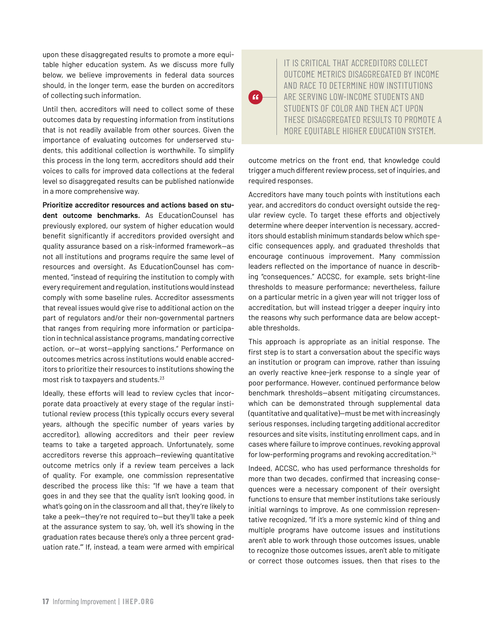upon these disaggregated results to promote a more equitable higher education system. As we discuss more fully below, we believe improvements in federal data sources should, in the longer term, ease the burden on accreditors of collecting such information.

Until then, accreditors will need to collect some of these outcomes data by requesting information from institutions that is not readily available from other sources. Given the importance of evaluating outcomes for underserved students, this additional collection is worthwhile. To simplify this process in the long term, accreditors should add their voices to calls for improved data collections at the federal level so disaggregated results can be published nationwide in a more comprehensive way.

**Prioritize accreditor resources and actions based on student outcome benchmarks.** As EducationCounsel has previously explored, our system of higher education would benefit significantly if accreditors provided oversight and quality assurance based on a risk-informed framework—as not all institutions and programs require the same level of resources and oversight. As EducationCounsel has commented, "instead of requiring the institution to comply with every requirement and regulation, institutions would instead comply with some baseline rules. Accreditor assessments that reveal issues would give rise to additional action on the part of regulators and/or their non-governmental partners that ranges from requiring more information or participation in technical assistance programs, mandating corrective action, or—at worst—applying sanctions." Performance on outcomes metrics across institutions would enable accreditors to prioritize their resources to institutions showing the most risk to taxpayers and students.23

Ideally, these efforts will lead to review cycles that incorporate data proactively at every stage of the regular institutional review process (this typically occurs every several years, although the specific number of years varies by accreditor), allowing accreditors and their peer review teams to take a targeted approach. Unfortunately, some accreditors reverse this approach—reviewing quantitative outcome metrics only if a review team perceives a lack of quality. For example, one commission representative described the process like this: "If we have a team that goes in and they see that the quality isn't looking good, in what's going on in the classroom and all that, they're likely to take a peek—they're not required to—but they'll take a peek at the assurance system to say, 'oh, well it's showing in the graduation rates because there's only a three percent graduation rate.'" If, instead, a team were armed with empirical

IT IS CRITICAL THAT ACCREDITORS COLLECT OUTCOME METRICS DISAGGREGATED BY INCOME AND RACE TO DETERMINE HOW INSTITUTIONS ARE SERVING LOW-INCOME STUDENTS AND STUDENTS OF COLOR AND THEN ACT UPON THESE DISAGGREGATED RESULTS TO PROMOTE A MORE EQUITABLE HIGHER EDUCATION SYSTEM.

outcome metrics on the front end, that knowledge could trigger a much different review process, set of inquiries, and required responses.

 $\epsilon$ 

Accreditors have many touch points with institutions each year, and accreditors do conduct oversight outside the regular review cycle. To target these efforts and objectively determine where deeper intervention is necessary, accreditors should establish minimum standards below which specific consequences apply, and graduated thresholds that encourage continuous improvement. Many commission leaders reflected on the importance of nuance in describing "consequences." ACCSC, for example, sets bright-line thresholds to measure performance; nevertheless, failure on a particular metric in a given year will not trigger loss of accreditation, but will instead trigger a deeper inquiry into the reasons why such performance data are below acceptable thresholds.

This approach is appropriate as an initial response. The first step is to start a conversation about the specific ways an institution or program can improve, rather than issuing an overly reactive knee-jerk response to a single year of poor performance. However, continued performance below benchmark thresholds—absent mitigating circumstances, which can be demonstrated through supplemental data (quantitative and qualitative)—must be met with increasingly serious responses, including targeting additional accreditor resources and site visits, instituting enrollment caps, and in cases where failure to improve continues, revoking approval for low-performing programs and revoking accreditation.24

Indeed, ACCSC, who has used performance thresholds for more than two decades, confirmed that increasing consequences were a necessary component of their oversight functions to ensure that member institutions take seriously initial warnings to improve. As one commission representative recognized, "If it's a more systemic kind of thing and multiple programs have outcome issues and institutions aren't able to work through those outcomes issues, unable to recognize those outcomes issues, aren't able to mitigate or correct those outcomes issues, then that rises to the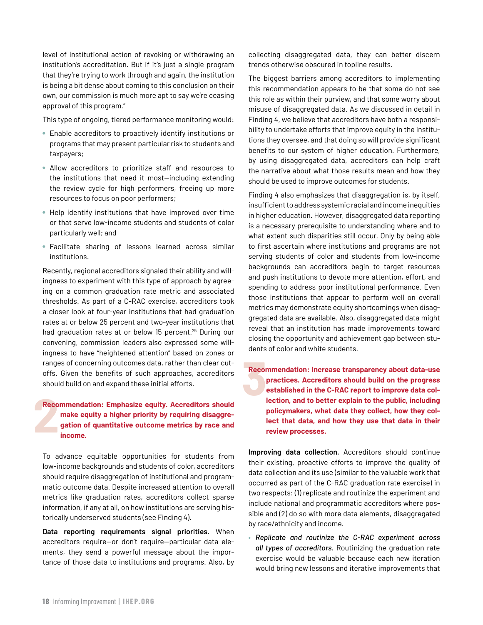level of institutional action of revoking or withdrawing an institution's accreditation. But if it's just a single program that they're trying to work through and again, the institution is being a bit dense about coming to this conclusion on their own, our commission is much more apt to say we're ceasing approval of this program."

This type of ongoing, tiered performance monitoring would:

- Enable accreditors to proactively identify institutions or programs that may present particular risk to students and taxpayers;
- Allow accreditors to prioritize staff and resources to the institutions that need it most—including extending the review cycle for high performers, freeing up more resources to focus on poor performers;
- Help identify institutions that have improved over time or that serve low-income students and students of color particularly well; and
- 7 Facilitate sharing of lessons learned across similar institutions.

Recently, regional accreditors signaled their ability and willingness to experiment with this type of approach by agreeing on a common graduation rate metric and associated thresholds. As part of a C-RAC exercise, accreditors took a closer look at four-year institutions that had graduation rates at or below 25 percent and two-year institutions that had graduation rates at or below 15 percent.<sup>25</sup> During our convening, commission leaders also expressed some willingness to have "heightened attention" based on zones or ranges of concerning outcomes data, rather than clear cutoffs. Given the benefits of such approaches, accreditors should build on and expand these initial efforts.

#### **2**<br>2<br><br>2<br><br><br><br><br><br><br><br><br><br><br><br><br><br><br><br><br><br><br><br><br><br> **Recommendation: Emphasize equity. Accreditors should make equity a higher priority by requiring disaggregation of quantitative outcome metrics by race and income.**

To advance equitable opportunities for students from low-income backgrounds and students of color, accreditors should require disaggregation of institutional and programmatic outcome data. Despite increased attention to overall metrics like graduation rates, accreditors collect sparse information, if any at all, on how institutions are serving historically underserved students (see Finding 4).

**Data reporting requirements signal priorities.** When accreditors require—or don't require—particular data elements, they send a powerful message about the importance of those data to institutions and programs. Also, by collecting disaggregated data, they can better discern trends otherwise obscured in topline results.

The biggest barriers among accreditors to implementing this recommendation appears to be that some do not see this role as within their purview, and that some worry about misuse of disaggregated data. As we discussed in detail in Finding 4, we believe that accreditors have both a responsibility to undertake efforts that improve equity in the institutions they oversee, and that doing so will provide significant benefits to our system of higher education. Furthermore, by using disaggregated data, accreditors can help craft the narrative about what those results mean and how they should be used to improve outcomes for students.

Finding 4 also emphasizes that disaggregation is, by itself, insufficient to address systemic racial and income inequities in higher education. However, disaggregated data reporting is a necessary prerequisite to understanding where and to what extent such disparities still occur. Only by being able to first ascertain where institutions and programs are not serving students of color and students from low-income backgrounds can accreditors begin to target resources and push institutions to devote more attention, effort, and spending to address poor institutional performance. Even those institutions that appear to perform well on overall metrics may demonstrate equity shortcomings when disaggregated data are available. Also, disaggregated data might reveal that an institution has made improvements toward closing the opportunity and achievement gap between students of color and white students.

**8**<br>**3**<br>**3 Recommendation: Increase transparency about data-use practices. Accreditors should build on the progress established in the C-RAC report to improve data collection, and to better explain to the public, including policymakers, what data they collect, how they collect that data, and how they use that data in their review processes.** 

**Improving data collection.** Accreditors should continue their existing, proactive efforts to improve the quality of data collection and its use (similar to the valuable work that occurred as part of the C-RAC graduation rate exercise) in two respects: (1) replicate and routinize the experiment and include national and programmatic accreditors where possible and (2) do so with more data elements, disaggregated by race/ethnicity and income.

• *Replicate and routinize the C-RAC experiment across all types of accreditors.* Routinizing the graduation rate exercise would be valuable because each new iteration would bring new lessons and iterative improvements that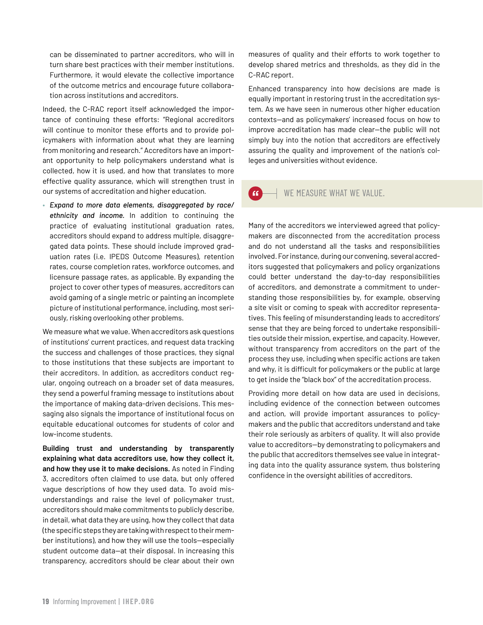can be disseminated to partner accreditors, who will in turn share best practices with their member institutions. Furthermore, it would elevate the collective importance of the outcome metrics and encourage future collaboration across institutions and accreditors.

Indeed, the C-RAC report itself acknowledged the importance of continuing these efforts: "Regional accreditors will continue to monitor these efforts and to provide policymakers with information about what they are learning from monitoring and research." Accreditors have an important opportunity to help policymakers understand what is collected, how it is used, and how that translates to more effective quality assurance, which will strengthen trust in our systems of accreditation and higher education.

• *Expand to more data elements, disaggregated by race/ ethnicity and income.* In addition to continuing the practice of evaluating institutional graduation rates, accreditors should expand to address multiple, disaggregated data points. These should include improved graduation rates (i.e. IPEDS Outcome Measures), retention rates, course completion rates, workforce outcomes, and licensure passage rates, as applicable. By expanding the project to cover other types of measures, accreditors can avoid gaming of a single metric or painting an incomplete picture of institutional performance, including, most seriously, risking overlooking other problems.

We measure what we value. When accreditors ask questions of institutions' current practices, and request data tracking the success and challenges of those practices, they signal to those institutions that these subjects are important to their accreditors. In addition, as accreditors conduct regular, ongoing outreach on a broader set of data measures, they send a powerful framing message to institutions about the importance of making data-driven decisions. This messaging also signals the importance of institutional focus on equitable educational outcomes for students of color and low-income students.

**Building trust and understanding by transparently explaining what data accreditors use, how they collect it, and how they use it to make decisions.** As noted in Finding 3, accreditors often claimed to use data, but only offered vague descriptions of how they used data. To avoid misunderstandings and raise the level of policymaker trust, accreditors should make commitments to publicly describe, in detail, what data they are using, how they collect that data (the specific steps they are taking with respect to their member institutions), and how they will use the tools—especially student outcome data—at their disposal. In increasing this transparency, accreditors should be clear about their own

measures of quality and their efforts to work together to develop shared metrics and thresholds, as they did in the C-RAC report.

Enhanced transparency into how decisions are made is equally important in restoring trust in the accreditation system. As we have seen in numerous other higher education contexts—and as policymakers' increased focus on how to improve accreditation has made clear—the public will not simply buy into the notion that accreditors are effectively assuring the quality and improvement of the nation's colleges and universities without evidence.

#### $\overline{a}$ WE MEASURE WHAT WE VALUE.

Many of the accreditors we interviewed agreed that policymakers are disconnected from the accreditation process and do not understand all the tasks and responsibilities involved. For instance, during our convening, several accreditors suggested that policymakers and policy organizations could better understand the day-to-day responsibilities of accreditors, and demonstrate a commitment to understanding those responsibilities by, for example, observing a site visit or coming to speak with accreditor representatives. This feeling of misunderstanding leads to accreditors' sense that they are being forced to undertake responsibilities outside their mission, expertise, and capacity. However, without transparency from accreditors on the part of the process they use, including when specific actions are taken and why, it is difficult for policymakers or the public at large to get inside the "black box" of the accreditation process.

Providing more detail on how data are used in decisions, including evidence of the connection between outcomes and action, will provide important assurances to policymakers and the public that accreditors understand and take their role seriously as arbiters of quality. It will also provide value to accreditors—by demonstrating to policymakers and the public that accreditors themselves see value in integrating data into the quality assurance system, thus bolstering confidence in the oversight abilities of accreditors.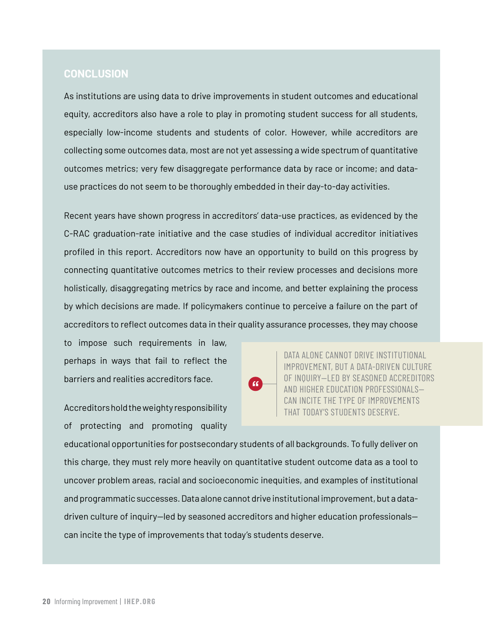## **CONCLUSION**

As institutions are using data to drive improvements in student outcomes and educational equity, accreditors also have a role to play in promoting student success for all students, especially low-income students and students of color. However, while accreditors are collecting some outcomes data, most are not yet assessing a wide spectrum of quantitative outcomes metrics; very few disaggregate performance data by race or income; and datause practices do not seem to be thoroughly embedded in their day-to-day activities.

Recent years have shown progress in accreditors' data-use practices, as evidenced by the C-RAC graduation-rate initiative and the case studies of individual accreditor initiatives profiled in this report. Accreditors now have an opportunity to build on this progress by connecting quantitative outcomes metrics to their review processes and decisions more holistically, disaggregating metrics by race and income, and better explaining the process by which decisions are made. If policymakers continue to perceive a failure on the part of accreditors to reflect outcomes data in their quality assurance processes, they may choose

to impose such requirements in law, perhaps in ways that fail to reflect the barriers and realities accreditors face.

 $\epsilon$ 

DATA ALONE CANNOT DRIVE INSTITUTIONAL IMPROVEMENT, BUT A DATA-DRIVEN CULTURE OF INQUIRY—LED BY SEASONED ACCREDITORS AND HIGHER EDUCATION PROFESSIONALS— CAN INCITE THE TYPE OF IMPROVEMENTS THAT TODAY'S STUDENTS DESERVE.

Accreditors hold the weighty responsibility of protecting and promoting quality

educational opportunities for postsecondary students of all backgrounds. To fully deliver on this charge, they must rely more heavily on quantitative student outcome data as a tool to uncover problem areas, racial and socioeconomic inequities, and examples of institutional and programmatic successes. Data alone cannot drive institutional improvement, but a datadriven culture of inquiry—led by seasoned accreditors and higher education professionals can incite the type of improvements that today's students deserve.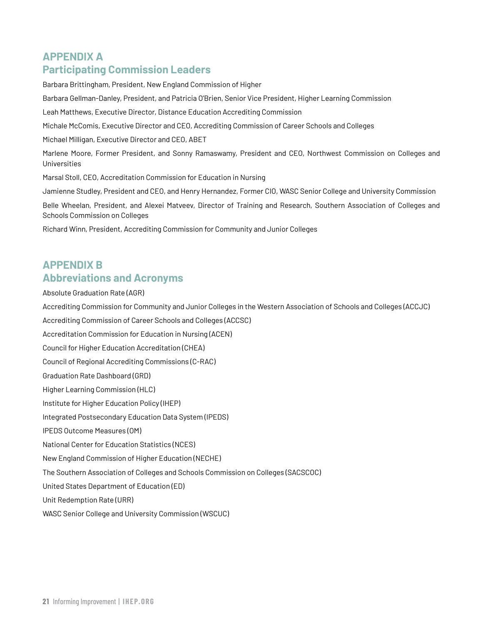# **APPENDIX A Participating Commission Leaders**

Barbara Brittingham, President, New England Commission of Higher

Barbara Gellman-Danley, President, and Patricia O'Brien, Senior Vice President, Higher Learning Commission

Leah Matthews, Executive Director, Distance Education Accrediting Commission

Michale McComis, Executive Director and CEO, Accrediting Commission of Career Schools and Colleges

Michael Milligan, Executive Director and CEO, ABET

Marlene Moore, Former President, and Sonny Ramaswamy, President and CEO, Northwest Commission on Colleges and Universities

Marsal Stoll, CEO, Accreditation Commission for Education in Nursing

Jamienne Studley, President and CEO, and Henry Hernandez, Former CIO, WASC Senior College and University Commission

Belle Wheelan, President, and Alexei Matveev, Director of Training and Research, Southern Association of Colleges and Schools Commission on Colleges

Richard Winn, President, Accrediting Commission for Community and Junior Colleges

# **APPENDIX B Abbreviations and Acronyms**

Absolute Graduation Rate (AGR)

Accrediting Commission for Community and Junior Colleges in the Western Association of Schools and Colleges (ACCJC)

Accrediting Commission of Career Schools and Colleges (ACCSC)

Accreditation Commission for Education in Nursing (ACEN)

Council for Higher Education Accreditation (CHEA)

Council of Regional Accrediting Commissions (C-RAC)

Graduation Rate Dashboard (GRD)

Higher Learning Commission (HLC)

Institute for Higher Education Policy (IHEP)

Integrated Postsecondary Education Data System (IPEDS)

IPEDS Outcome Measures (OM)

National Center for Education Statistics (NCES)

New England Commission of Higher Education (NECHE)

The Southern Association of Colleges and Schools Commission on Colleges (SACSCOC)

United States Department of Education (ED)

Unit Redemption Rate (URR)

WASC Senior College and University Commission (WSCUC)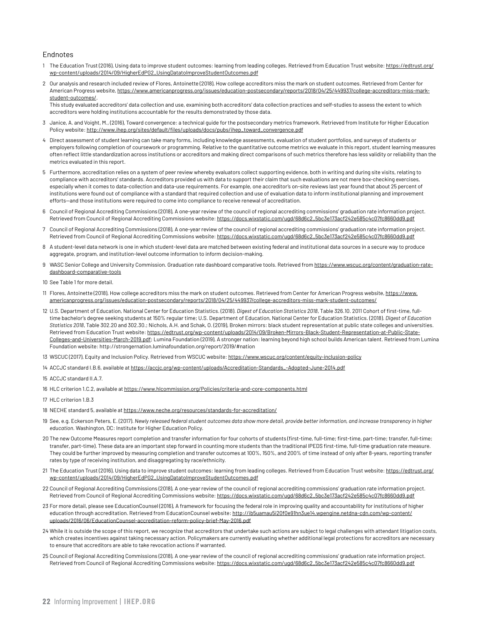#### Endnotes

- 1 The Education Trust (2016), Using data to improve student outcomes: learning from leading colleges. Retrieved from Education Trust website: [https://edtrust.org/](https://edtrust.org/wp-content/uploads/2014/09/HigherEdPG2_UsingDatatoImproveStudentOutcomes.pdf) [wp-content/uploads/2014/09/HigherEdPG2\\_UsingDatatoImproveStudentOutcomes.pdf](https://edtrust.org/wp-content/uploads/2014/09/HigherEdPG2_UsingDatatoImproveStudentOutcomes.pdf)
- 2 Our analysis and research included review of Flores, Antoinette (2018), How college accreditors miss the mark on student outcomes. Retrieved from Center for American Progress website, [https://www.americanprogress.org/issues/education-postsecondary/reports/2018/04/25/449937/college-accreditors-miss-mark](https://www.americanprogress.org/issues/education-postsecondary/reports/2018/04/25/449937/college-accreditors-miss-mark-student-outcomes/)[student-outcomes/](https://www.americanprogress.org/issues/education-postsecondary/reports/2018/04/25/449937/college-accreditors-miss-mark-student-outcomes/).

This study evaluated accreditors' data collection and use, examining both accreditors' data collection practices and self-studies to assess the extent to which accreditors were holding institutions accountable for the results demonstrated by those data.

- 3 Janice, A. and Voight, M., (2016), Toward convergence: a technical guide for the postsecondary metrics framework. Retrieved from Institute for Higher Education Policy website: [http://www.ihep.org/sites/default/files/uploads/docs/pubs/ihep\\_toward\\_convergence.pdf](http://www.ihep.org/sites/default/files/uploads/docs/pubs/ihep_toward_convergence.pdf)
- 4 Direct assessment of student learning can take many forms, including knowledge assessments, evaluation of student portfolios, and surveys of students or employers following completion of coursework or programming. Relative to the quantitative outcome metrics we evaluate in this report, student learning measures often reflect little standardization across institutions or accreditors and making direct comparisons of such metrics therefore has less validity or reliability than the metrics evaluated in this report.
- 5 Furthermore, accreditation relies on a system of peer review whereby evaluators collect supporting evidence, both in writing and during site visits, relating to compliance with accreditors' standards. Accreditors provided us with data to support their claim that such evaluations are not mere box-checking exercises, especially when it comes to data-collection and data-use requirements. For example, one accreditor's on-site reviews last year found that about 25 percent of institutions were found out of compliance with a standard that required collection and use of evaluation data to inform institutional planning and improvement efforts—and those institutions were required to come into compliance to receive renewal of accreditation.
- 6 Council of Regional Accrediting Commissions (2018), A one-year review of the council of regional accrediting commissions' graduation rate information project. Retrieved from Council of Regional Accrediting Commissions website: [https://docs.wixstatic.com/ugd/68d6c2\\_5bc3e173acf242e585c4c07fc8660dd9.pdf](https://docs.wixstatic.com/ugd/68d6c2_5bc3e173acf242e585c4c07fc8660dd9.pdf)
- 7 Council of Regional Accrediting Commissions (2018), A one-year review of the council of regional accrediting commissions' graduation rate information project. Retrieved from Council of Regional Accrediting Commissions website: [https://docs.wixstatic.com/ugd/68d6c2\\_5bc3e173acf242e585c4c07fc8660dd9.pdf](https://docs.wixstatic.com/ugd/68d6c2_5bc3e173acf242e585c4c07fc8660dd9.pdf)
- 8 A student-level data network is one in which student-level data are matched between existing federal and institutional data sources in a secure way to produce aggregate, program, and institution-level outcome information to inform decision-making.
- 9 WASC Senior College and University Commission. Graduation rate dashboard comparative tools. Retrieved from [https://www.wscuc.org/content/graduation-rate](https://www.wscuc.org/content/graduation-rate-dashboard-comparative-tools)[dashboard-comparative-tools](https://www.wscuc.org/content/graduation-rate-dashboard-comparative-tools)
- 10 See Table 1 for more detail.
- 11 Flores, Antoinette (2018), How college accreditors miss the mark on student outcomes. Retrieved from Center for American Progress website, [https://www.](https://www.americanprogress.org/issues/education-postsecondary/reports/2018/04/25/449937/college-accreditors-miss-mark-student-outcomes/) [americanprogress.org/issues/education-postsecondary/reports/2018/04/25/449937/college-accreditors-miss-mark-student-outcomes/](https://www.americanprogress.org/issues/education-postsecondary/reports/2018/04/25/449937/college-accreditors-miss-mark-student-outcomes/)
- 12 U.S. Department of Education, National Center for Education Statistics. (2018). *Digest of Education Statistics 2018*, Table 326.10. 2011 Cohort of first-time, fulltime bachelor's degree seeking students at 150% regular time; U.S. Department of Education, National Center for Education Statistics. (2018). *Digest of Education Statistics 2018*, Table 302.20 and 302.30.; Nichols, A.H. and Schak, O. (2019), Broken mirrors: black student representation at public state colleges and universities. Retrieved from Education Trust website: [https://edtrust.org/wp-content/uploads/2014/09/Broken-Mirrors-Black-Student-Representation-at-Public-State-](https://edtrust.org/wp-content/uploads/2014/09/Broken-Mirrors-Black-Student-Representation-at-Public-State-Colleges-and-Universities-March-2019.pdf)[Colleges-and-Universities-March-2019.pdf](https://edtrust.org/wp-content/uploads/2014/09/Broken-Mirrors-Black-Student-Representation-at-Public-State-Colleges-and-Universities-March-2019.pdf); Lumina Foundation (2019), A stronger nation: learning beyond high school builds American talent. Retrieved from Lumina Foundation website: http://strongernation.luminafoundation.org/report/2019/#nation
- 13 WSCUC (2017), Equity and Inclusion Policy. Retrieved from WSCUC website: <https://www.wscuc.org/content/equity-inclusion-policy>
- 14 ACCJC standard I.B.6, available at [https://accjc.org/wp-content/uploads/Accreditation-Standards\\_-Adopted-June-2014.pdf](https://accjc.org/wp-content/uploads/Accreditation-Standards_-Adopted-June-2014.pdf)
- 15 ACCJC standard II.A.7.
- 16 HLC criterion 1.C.2, available at <https://www.hlcommission.org/Policies/criteria-and-core-components.html>
- 17 HLC criterion 1.B.3
- 18 NECHE standard 5, available at <https://www.neche.org/resources/standards-for-accreditation/>
- 19 See, e.g. Eckerson Peters, E. (2017). *Newly released federal student outcomes data show more detail, provide better information, and increase transparency in higher education*. Washington, DC: Institute for Higher Education Policy.
- 20 The new Outcome Measures report completion and transfer information for four cohorts of students (first-time, full-time; first-time, part-time; transfer, full-time; transfer, part-time). These data are an important step forward in counting more students than the traditional IPEDS first-time, full-time graduation rate measure. They could be further improved by measuring completion and transfer outcomes at 100%, 150%, and 200% of time instead of only after 8-years, reporting transfer rates by type of receiving institution, and disaggregating by race/ethnicity.
- 21 The Education Trust (2016), Using data to improve student outcomes: learning from leading colleges. Retrieved from Education Trust website: [https://edtrust.org/](https://edtrust.org/wp-content/uploads/2014/09/HigherEdPG2_UsingDatatoImproveStudentOutcomes.pdf) [wp-content/uploads/2014/09/HigherEdPG2\\_UsingDatatoImproveStudentOutcomes.pdf](https://edtrust.org/wp-content/uploads/2014/09/HigherEdPG2_UsingDatatoImproveStudentOutcomes.pdf)
- 22 Council of Regional Accrediting Commissions (2018), A one-year review of the council of regional accrediting commissions' graduation rate information project. Retrieved from Council of Regional Accrediting Commissions website: [https://docs.wixstatic.com/ugd/68d6c2\\_5bc3e173acf242e585c4c07fc8660dd9.pdf](https://docs.wixstatic.com/ugd/68d6c2_5bc3e173acf242e585c4c07fc8660dd9.pdf)
- 23 For more detail, please see EducationCounsel (2016), A framework for focusing the federal role in improving quality and accountability for institutions of higher education through accreditation. Retrieved from EducationCounsel website: [http://ib5uamau5i20f0e91hn3ue14.wpengine.netdna-cdn.com/wp-content/](http://ib5uamau5i20f0e91hn3ue14.wpengine.netdna-cdn.com/wp-content/uploads/2016/06/EducationCounsel-accreditation-reform-policy-brief-May-2016.pdf) [uploads/2016/06/EducationCounsel-accreditation-reform-policy-brief-May-2016.pdf](http://ib5uamau5i20f0e91hn3ue14.wpengine.netdna-cdn.com/wp-content/uploads/2016/06/EducationCounsel-accreditation-reform-policy-brief-May-2016.pdf)
- 24 While it is outside the scope of this report, we recognize that accreditors that undertake such actions are subject to legal challenges with attendant litigation costs, which creates incentives against taking necessary action. Policymakers are currently evaluating whether additional legal protections for accreditors are necessary to ensure that accreditors are able to take revocation actions if warranted.
- 25 Council of Regional Accrediting Commissions (2018), A one-year review of the council of regional accrediting commissions' graduation rate information project. Retrieved from Council of Regional Accrediting Commissions website: [https://docs.wixstatic.com/ugd/68d6c2\\_5bc3e173acf242e585c4c07fc8660dd9.pdf](https://docs.wixstatic.com/ugd/68d6c2_5bc3e173acf242e585c4c07fc8660dd9.pdf)